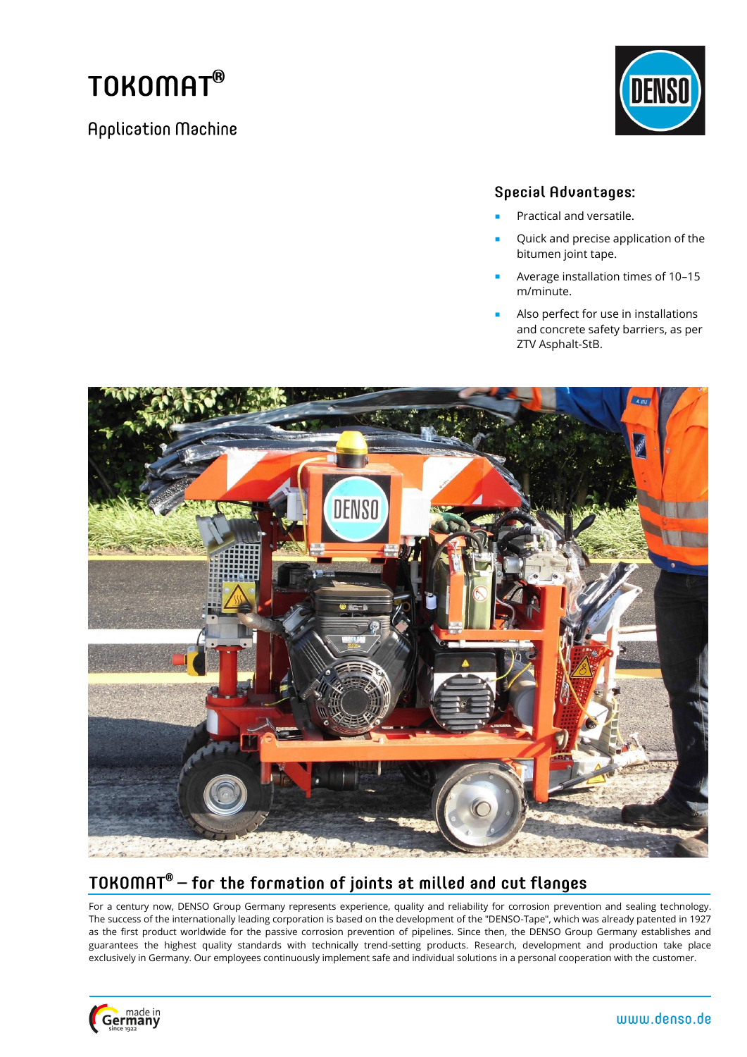# TOKOMAT<sup>®</sup>

**Application Machine** 



#### **Special Advantages:**

- Practical and versatile.
- Quick and precise application of the bitumen joint tape.
- Average installation times of 10-15 m/minute.
- Also perfect for use in installations and concrete safety barriers, as per ZTV Asphalt-StB.



# TOKOMAT<sup>®</sup>  $-$  for the formation of joints at milled and cut flanges

For a century now, DENSO Group Germany represents experience, quality and reliability for corrosion prevention and sealing technology. The success of the internationally leading corporation is based on the development of the "DENSO-Tape", which was already patented in 1927 as the first product worldwide for the passive corrosion prevention of pipelines. Since then, the DENSO Group Germany establishes and guarantees the highest quality standards with technically trend-setting products. Research, development and production take place exclusively in Germany. Our employees continuously implement safe and individual solutions in a personal cooperation with the customer.